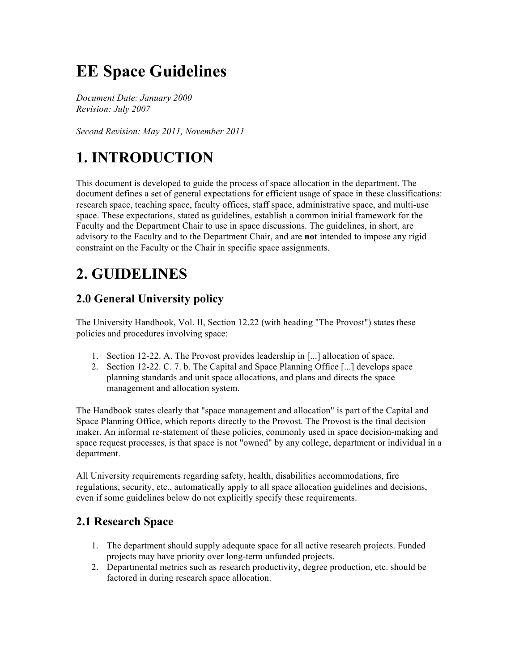# **EE Space Guidelines**

*Document Date: January 2000 Revision: July 2007* 

*Second Revision: May 2011, November 2011*

## **1. INTRODUCTION**

This document is developed to guide the process of space allocation in the department. The document defines a set of general expectations for efficient usage of space in these classifications: research space, teaching space, faculty offices, staff space, administrative space, and multi-use space. These expectations, stated as guidelines, establish a common initial framework for the Faculty and the Department Chair to use in space discussions. The guidelines, in short, are advisory to the Faculty and to the Department Chair, and are **not** intended to impose any rigid constraint on the Faculty or the Chair in specific space assignments.

### **2. GUIDELINES**

### **2.0 General University policy**

The University Handbook, Vol. II, Section 12.22 (with heading "The Provost") states these policies and procedures involving space:

- 1. Section 12-22. A. The Provost provides leadership in [...] allocation of space.
- 2. Section 12-22. C. 7. b. The Capital and Space Planning Office [...] develops space planning standards and unit space allocations, and plans and directs the space management and allocation system.

The Handbook states clearly that "space management and allocation" is part of the Capital and Space Planning Office, which reports directly to the Provost. The Provost is the final decision maker. An informal re-statement of these policies, commonly used in space decision-making and space request processes, is that space is not "owned" by any college, department or individual in a department.

All University requirements regarding safety, health, disabilities accommodations, fire regulations, security, etc., automatically apply to all space allocation guidelines and decisions, even if some guidelines below do not explicitly specify these requirements.

#### **2.1 Research Space**

- 1. The department should supply adequate space for all active research projects. Funded projects may have priority over long-term unfunded projects.
- 2. Departmental metrics such as research productivity, degree production, etc. should be factored in during research space allocation.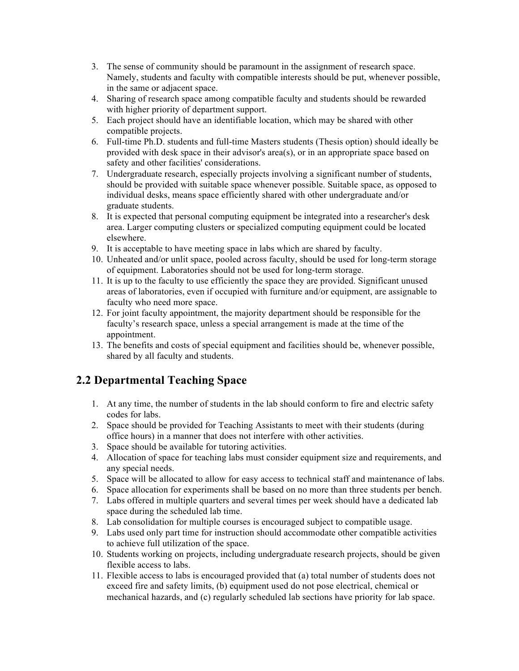- 3. The sense of community should be paramount in the assignment of research space. Namely, students and faculty with compatible interests should be put, whenever possible, in the same or adjacent space.
- 4. Sharing of research space among compatible faculty and students should be rewarded with higher priority of department support.
- 5. Each project should have an identifiable location, which may be shared with other compatible projects.
- 6. Full-time Ph.D. students and full-time Masters students (Thesis option) should ideally be provided with desk space in their advisor's area(s), or in an appropriate space based on safety and other facilities' considerations.
- 7. Undergraduate research, especially projects involving a significant number of students, should be provided with suitable space whenever possible. Suitable space, as opposed to individual desks, means space efficiently shared with other undergraduate and/or graduate students.
- 8. It is expected that personal computing equipment be integrated into a researcher's desk area. Larger computing clusters or specialized computing equipment could be located elsewhere.
- 9. It is acceptable to have meeting space in labs which are shared by faculty.
- 10. Unheated and/or unlit space, pooled across faculty, should be used for long-term storage of equipment. Laboratories should not be used for long-term storage.
- 11. It is up to the faculty to use efficiently the space they are provided. Significant unused areas of laboratories, even if occupied with furniture and/or equipment, are assignable to faculty who need more space.
- 12. For joint faculty appointment, the majority department should be responsible for the faculty's research space, unless a special arrangement is made at the time of the appointment.
- 13. The benefits and costs of special equipment and facilities should be, whenever possible, shared by all faculty and students.

#### **2.2 Departmental Teaching Space**

- 1. At any time, the number of students in the lab should conform to fire and electric safety codes for labs.
- 2. Space should be provided for Teaching Assistants to meet with their students (during office hours) in a manner that does not interfere with other activities.
- 3. Space should be available for tutoring activities.
- 4. Allocation of space for teaching labs must consider equipment size and requirements, and any special needs.
- 5. Space will be allocated to allow for easy access to technical staff and maintenance of labs.
- 6. Space allocation for experiments shall be based on no more than three students per bench.
- 7. Labs offered in multiple quarters and several times per week should have a dedicated lab space during the scheduled lab time.
- 8. Lab consolidation for multiple courses is encouraged subject to compatible usage.
- 9. Labs used only part time for instruction should accommodate other compatible activities to achieve full utilization of the space.
- 10. Students working on projects, including undergraduate research projects, should be given flexible access to labs.
- 11. Flexible access to labs is encouraged provided that (a) total number of students does not exceed fire and safety limits, (b) equipment used do not pose electrical, chemical or mechanical hazards, and (c) regularly scheduled lab sections have priority for lab space.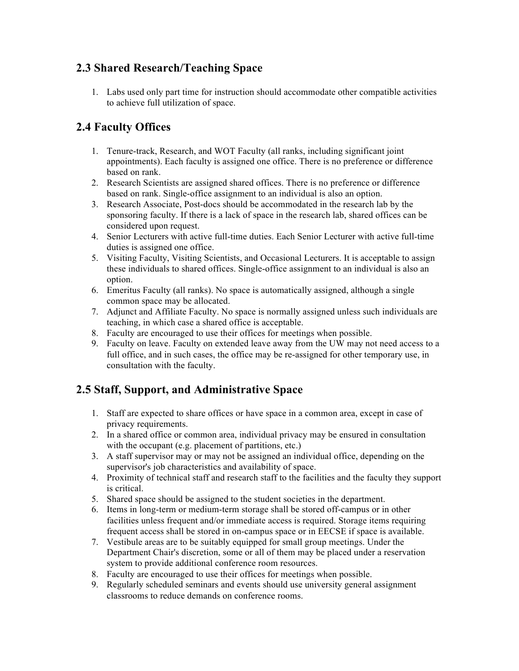#### **2.3 Shared Research/Teaching Space**

1. Labs used only part time for instruction should accommodate other compatible activities to achieve full utilization of space.

### **2.4 Faculty Offices**

- 1. Tenure-track, Research, and WOT Faculty (all ranks, including significant joint appointments). Each faculty is assigned one office. There is no preference or difference based on rank.
- 2. Research Scientists are assigned shared offices. There is no preference or difference based on rank. Single-office assignment to an individual is also an option.
- 3. Research Associate, Post-docs should be accommodated in the research lab by the sponsoring faculty. If there is a lack of space in the research lab, shared offices can be considered upon request.
- 4. Senior Lecturers with active full-time duties. Each Senior Lecturer with active full-time duties is assigned one office.
- 5. Visiting Faculty, Visiting Scientists, and Occasional Lecturers. It is acceptable to assign these individuals to shared offices. Single-office assignment to an individual is also an option.
- 6. Emeritus Faculty (all ranks). No space is automatically assigned, although a single common space may be allocated.
- 7. Adjunct and Affiliate Faculty. No space is normally assigned unless such individuals are teaching, in which case a shared office is acceptable.
- 8. Faculty are encouraged to use their offices for meetings when possible.
- 9. Faculty on leave. Faculty on extended leave away from the UW may not need access to a full office, and in such cases, the office may be re-assigned for other temporary use, in consultation with the faculty.

### **2.5 Staff, Support, and Administrative Space**

- 1. Staff are expected to share offices or have space in a common area, except in case of privacy requirements.
- 2. In a shared office or common area, individual privacy may be ensured in consultation with the occupant (e.g. placement of partitions, etc.)
- 3. A staff supervisor may or may not be assigned an individual office, depending on the supervisor's job characteristics and availability of space.
- 4. Proximity of technical staff and research staff to the facilities and the faculty they support is critical.
- 5. Shared space should be assigned to the student societies in the department.
- 6. Items in long-term or medium-term storage shall be stored off-campus or in other facilities unless frequent and/or immediate access is required. Storage items requiring frequent access shall be stored in on-campus space or in EECSE if space is available.
- 7. Vestibule areas are to be suitably equipped for small group meetings. Under the Department Chair's discretion, some or all of them may be placed under a reservation system to provide additional conference room resources.
- 8. Faculty are encouraged to use their offices for meetings when possible.
- 9. Regularly scheduled seminars and events should use university general assignment classrooms to reduce demands on conference rooms.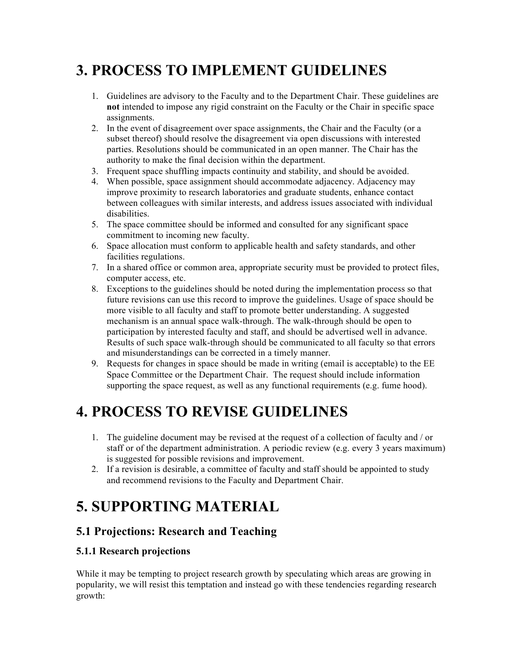## **3. PROCESS TO IMPLEMENT GUIDELINES**

- 1. Guidelines are advisory to the Faculty and to the Department Chair. These guidelines are **not** intended to impose any rigid constraint on the Faculty or the Chair in specific space assignments.
- 2. In the event of disagreement over space assignments, the Chair and the Faculty (or a subset thereof) should resolve the disagreement via open discussions with interested parties. Resolutions should be communicated in an open manner. The Chair has the authority to make the final decision within the department.
- 3. Frequent space shuffling impacts continuity and stability, and should be avoided.
- 4. When possible, space assignment should accommodate adjacency. Adjacency may improve proximity to research laboratories and graduate students, enhance contact between colleagues with similar interests, and address issues associated with individual disabilities.
- 5. The space committee should be informed and consulted for any significant space commitment to incoming new faculty.
- 6. Space allocation must conform to applicable health and safety standards, and other facilities regulations.
- 7. In a shared office or common area, appropriate security must be provided to protect files, computer access, etc.
- 8. Exceptions to the guidelines should be noted during the implementation process so that future revisions can use this record to improve the guidelines. Usage of space should be more visible to all faculty and staff to promote better understanding. A suggested mechanism is an annual space walk-through. The walk-through should be open to participation by interested faculty and staff, and should be advertised well in advance. Results of such space walk-through should be communicated to all faculty so that errors and misunderstandings can be corrected in a timely manner.
- 9. Requests for changes in space should be made in writing (email is acceptable) to the EE Space Committee or the Department Chair. The request should include information supporting the space request, as well as any functional requirements (e.g. fume hood).

# **4. PROCESS TO REVISE GUIDELINES**

- 1. The guideline document may be revised at the request of a collection of faculty and / or staff or of the department administration. A periodic review (e.g. every 3 years maximum) is suggested for possible revisions and improvement.
- 2. If a revision is desirable, a committee of faculty and staff should be appointed to study and recommend revisions to the Faculty and Department Chair.

# **5. SUPPORTING MATERIAL**

### **5.1 Projections: Research and Teaching**

#### **5.1.1 Research projections**

While it may be tempting to project research growth by speculating which areas are growing in popularity, we will resist this temptation and instead go with these tendencies regarding research growth: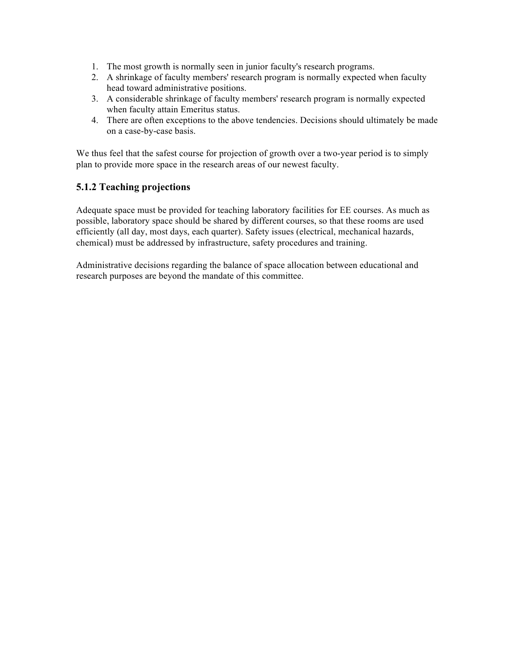- 1. The most growth is normally seen in junior faculty's research programs.
- 2. A shrinkage of faculty members' research program is normally expected when faculty head toward administrative positions.
- 3. A considerable shrinkage of faculty members' research program is normally expected when faculty attain Emeritus status.
- 4. There are often exceptions to the above tendencies. Decisions should ultimately be made on a case-by-case basis.

We thus feel that the safest course for projection of growth over a two-year period is to simply plan to provide more space in the research areas of our newest faculty.

#### **5.1.2 Teaching projections**

Adequate space must be provided for teaching laboratory facilities for EE courses. As much as possible, laboratory space should be shared by different courses, so that these rooms are used efficiently (all day, most days, each quarter). Safety issues (electrical, mechanical hazards, chemical) must be addressed by infrastructure, safety procedures and training.

Administrative decisions regarding the balance of space allocation between educational and research purposes are beyond the mandate of this committee.